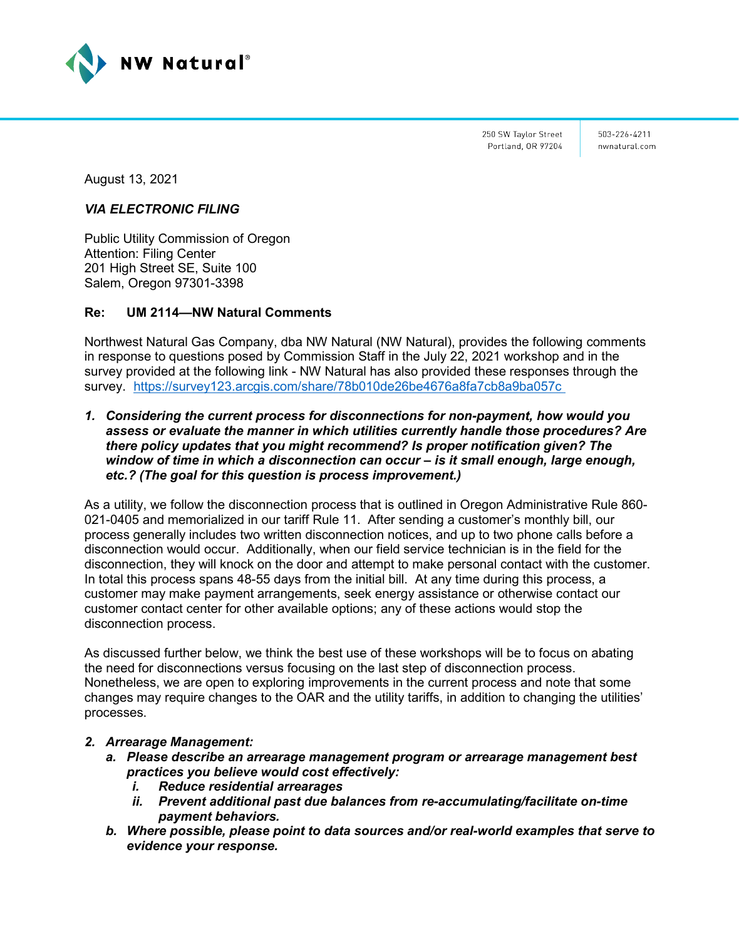

250 SW Taylor Street Portland, OR 97204

503-226-4211 nwnatural.com

August 13, 2021

# *VIA ELECTRONIC FILING*

Public Utility Commission of Oregon Attention: Filing Center 201 High Street SE, Suite 100 Salem, Oregon 97301-3398

## **Re: UM 2114—NW Natural Comments**

Northwest Natural Gas Company, dba NW Natural (NW Natural), provides the following comments in response to questions posed by Commission Staff in the July 22, 2021 workshop and in the survey provided at the following link - NW Natural has also provided these responses through the survey. [https://survey123.arcgis.com/share/78b010de26be4676a8fa7cb8a9ba057c](https://nam04.safelinks.protection.outlook.com/?url=https%3A%2F%2Fsurvey123.arcgis.com%2Fshare%2F78b010de26be4676a8fa7cb8a9ba057c&data=04%7C01%7CShawn.Bonfield%40avistacorp.com%7C6095decd25c940637fb208d94de0db4a%7C64c8d5efb6f743d8b84b8d044edc901d%7C0%7C0%7C637626450858624630%7CUnknown%7CTWFpbGZsb3d8eyJWIjoiMC4wLjAwMDAiLCJQIjoiV2luMzIiLCJBTiI6Ik1haWwiLCJXVCI6Mn0%3D%7C2000&sdata=RaQkKYdLTWY2Pj%2BhbprWfn2vS6sVKEe31QomPhSmWkM%3D&reserved=0)

### *1. Considering the current process for disconnections for non-payment, how would you assess or evaluate the manner in which utilities currently handle those procedures? Are there policy updates that you might recommend? Is proper notification given? The window of time in which a disconnection can occur – is it small enough, large enough, etc.? (The goal for this question is process improvement.)*

As a utility, we follow the disconnection process that is outlined in Oregon Administrative Rule 860- 021-0405 and memorialized in our tariff Rule 11. After sending a customer's monthly bill, our process generally includes two written disconnection notices, and up to two phone calls before a disconnection would occur. Additionally, when our field service technician is in the field for the disconnection, they will knock on the door and attempt to make personal contact with the customer. In total this process spans 48-55 days from the initial bill. At any time during this process, a customer may make payment arrangements, seek energy assistance or otherwise contact our customer contact center for other available options; any of these actions would stop the disconnection process.

As discussed further below, we think the best use of these workshops will be to focus on abating the need for disconnections versus focusing on the last step of disconnection process. Nonetheless, we are open to exploring improvements in the current process and note that some changes may require changes to the OAR and the utility tariffs, in addition to changing the utilities' processes.

## *2. Arrearage Management:*

- *a. Please describe an arrearage management program or arrearage management best practices you believe would cost effectively:*
	- *i. Reduce residential arrearages*
	- *ii. Prevent additional past due balances from re-accumulating/facilitate on-time payment behaviors.*
- *b. Where possible, please point to data sources and/or real-world examples that serve to evidence your response.*